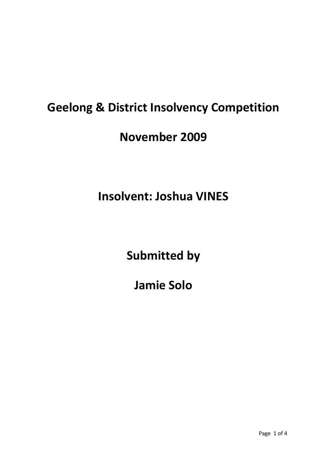## **Geelong & District Insolvency Competition**

## **November 2009**

## **Insolvent: Joshua VINES**

**Submitted by**

**Jamie Solo**

Page 1 of 4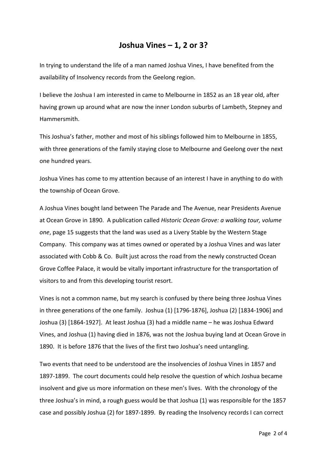## **Joshua Vines – 1, 2 or 3?**

In trying to understand the life of a man named Joshua Vines, I have benefited from the availability of Insolvency records from the Geelong region.

I believe the Joshua I am interested in came to Melbourne in 1852 as an 18 year old, after having grown up around what are now the inner London suburbs of Lambeth, Stepney and Hammersmith.

This Joshua's father, mother and most of his siblings followed him to Melbourne in 1855, with three generations of the family staying close to Melbourne and Geelong over the next one hundred years.

Joshua Vines has come to my attention because of an interest I have in anything to do with the township of Ocean Grove.

A Joshua Vines bought land between The Parade and The Avenue, near Presidents Avenue at Ocean Grove in 1890. A publication called *Historic Ocean Grove: a walking tour, volume one*, page 15 suggests that the land was used as a Livery Stable by the Western Stage Company. This company was at times owned or operated by a Joshua Vines and was later associated with Cobb & Co. Built just across the road from the newly constructed Ocean Grove Coffee Palace, it would be vitally important infrastructure for the transportation of visitors to and from this developing tourist resort.

Vines is not a common name, but my search is confused by there being three Joshua Vines in three generations of the one family. Joshua (1) [1796-1876], Joshua (2) [1834-1906] and Joshua (3) [1864‐1927]. At least Joshua (3) had a middle name – he was Joshua Edward Vines, and Joshua (1) having died in 1876, was not the Joshua buying land at Ocean Grove in 1890. It is before 1876 that the lives of the first two Joshua's need untangling.

Two events that need to be understood are the insolvencies of Joshua Vines in 1857 and 1897‐1899. The court documents could help resolve the question of which Joshua became insolvent and give us more information on these men's lives. With the chronology of the three Joshua's in mind, a rough guess would be that Joshua (1) was responsible for the 1857 case and possibly Joshua (2) for 1897‐1899. By reading the Insolvency records I can correct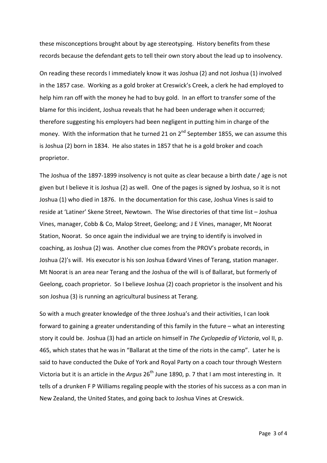these misconceptions brought about by age stereotyping. History benefits from these records because the defendant gets to tell their own story about the lead up to insolvency.

On reading these records I immediately know it was Joshua (2) and not Joshua (1) involved in the 1857 case. Working as a gold broker at Creswick's Creek, a clerk he had employed to help him ran off with the money he had to buy gold. In an effort to transfer some of the blame for this incident, Joshua reveals that he had been underage when it occurred; therefore suggesting his employers had been negligent in putting him in charge of the money. With the information that he turned 21 on 2<sup>nd</sup> September 1855, we can assume this is Joshua (2) born in 1834. He also states in 1857 that he is a gold broker and coach proprietor.

The Joshua of the 1897-1899 insolvency is not quite as clear because a birth date / age is not given but I believe it is Joshua (2) as well. One of the pages is signed by Joshua, so it is not Joshua (1) who died in 1876. In the documentation for this case, Joshua Vines is said to reside at 'Latiner' Skene Street, Newtown. The Wise directories of that time list – Joshua Vines, manager, Cobb & Co, Malop Street, Geelong; and J E Vines, manager, Mt Noorat Station, Noorat. So once again the individual we are trying to identify is involved in coaching, as Joshua (2) was. Another clue comes from the PROV's probate records, in Joshua (2)'s will. His executor is his son Joshua Edward Vines of Terang, station manager. Mt Noorat is an area near Terang and the Joshua of the will is of Ballarat, but formerly of Geelong, coach proprietor. So I believe Joshua (2) coach proprietor is the insolvent and his son Joshua (3) is running an agricultural business at Terang.

So with a much greater knowledge of the three Joshua's and their activities, I can look forward to gaining a greater understanding of this family in the future – what an interesting story it could be. Joshua (3) had an article on himself in *The Cyclopedia of Victoria*, vol II, p. 465, which states that he was in "Ballarat at the time of the riots in the camp". Later he is said to have conducted the Duke of York and Royal Party on a coach tour through Western Victoria but it is an article in the *Argus* 26<sup>th</sup> June 1890, p. 7 that I am most interesting in. It tells of a drunken F P Williams regaling people with the stories of his success as a con man in New Zealand, the United States, and going back to Joshua Vines at Creswick.